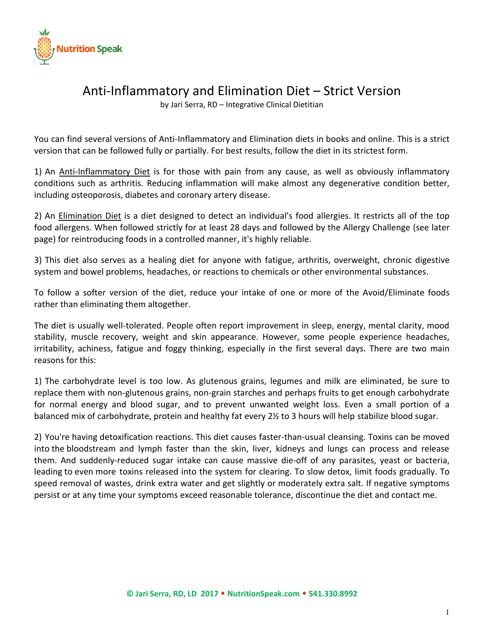

### Anti-Inflammatory and Elimination Diet – Strict Version

by Jari Serra, RD – Integrative Clinical Dietitian

You can find several versions of Anti-Inflammatory and Elimination diets in books and online. This is a strict version that can be followed fully or partially. For best results, follow the diet in its strictest form.

1) An Anti-Inflammatory Diet is for those with pain from any cause, as well as obviously inflammatory conditions such as arthritis. Reducing inflammation will make almost any degenerative condition better, including osteoporosis, diabetes and coronary artery disease.

2) An Elimination Diet is a diet designed to detect an individual's food allergies. It restricts all of the top food allergens. When followed strictly for at least 28 days and followed by the Allergy Challenge (see later page) for reintroducing foods in a controlled manner, it's highly reliable.

3) This diet also serves as a healing diet for anyone with fatigue, arthritis, overweight, chronic digestive system and bowel problems, headaches, or reactions to chemicals or other environmental substances.

To follow a softer version of the diet, reduce your intake of one or more of the Avoid/Eliminate foods rather than eliminating them altogether.

The diet is usually well-tolerated. People often report improvement in sleep, energy, mental clarity, mood stability, muscle recovery, weight and skin appearance. However, some people experience headaches, irritability, achiness, fatigue and foggy thinking, especially in the first several days. There are two main reasons for this:

1) The carbohydrate level is too low. As glutenous grains, legumes and milk are eliminated, be sure to replace them with non-glutenous grains, non-grain starches and perhaps fruits to get enough carbohydrate for normal energy and blood sugar, and to prevent unwanted weight loss. Even a small portion of a balanced mix of carbohydrate, protein and healthy fat every 2½ to 3 hours will help stabilize blood sugar.

2) You're having detoxification reactions. This diet causes faster-than-usual cleansing. Toxins can be moved into the bloodstream and lymph faster than the skin, liver, kidneys and lungs can process and release them. And suddenly-reduced sugar intake can cause massive die-off of any parasites, yeast or bacteria, leading to even more toxins released into the system for clearing. To slow detox, limit foods gradually. To speed removal of wastes, drink extra water and get slightly or moderately extra salt. If negative symptoms persist or at any time your symptoms exceed reasonable tolerance, discontinue the diet and contact me.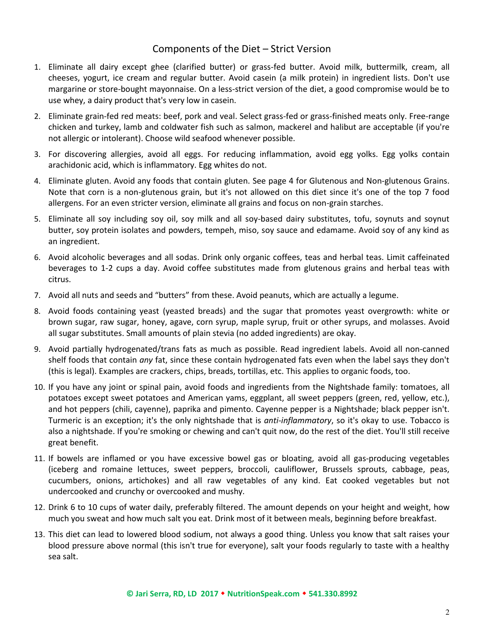#### Components of the Diet – Strict Version

- 1. Eliminate all dairy except ghee (clarified butter) or grass-fed butter. Avoid milk, buttermilk, cream, all cheeses, yogurt, ice cream and regular butter. Avoid casein (a milk protein) in ingredient lists. Don't use margarine or store-bought mayonnaise. On a less-strict version of the diet, a good compromise would be to use whey, a dairy product that's very low in casein.
- 2. Eliminate grain-fed red meats: beef, pork and veal. Select grass-fed or grass-finished meats only. Free-range chicken and turkey, lamb and coldwater fish such as salmon, mackerel and halibut are acceptable (if you're not allergic or intolerant). Choose wild seafood whenever possible.
- 3. For discovering allergies, avoid all eggs. For reducing inflammation, avoid egg yolks. Egg yolks contain arachidonic acid, which is inflammatory. Egg whites do not.
- 4. Eliminate gluten. Avoid any foods that contain gluten. See page 4 for Glutenous and Non-glutenous Grains. Note that corn is a non-glutenous grain, but it's not allowed on this diet since it's one of the top 7 food allergens. For an even stricter version, eliminate all grains and focus on non-grain starches.
- 5. Eliminate all soy including soy oil, soy milk and all soy-based dairy substitutes, tofu, soynuts and soynut butter, soy protein isolates and powders, tempeh, miso, soy sauce and edamame. Avoid soy of any kind as an ingredient.
- 6. Avoid alcoholic beverages and all sodas. Drink only organic coffees, teas and herbal teas. Limit caffeinated beverages to 1-2 cups a day. Avoid coffee substitutes made from glutenous grains and herbal teas with citrus.
- 7. Avoid all nuts and seeds and "butters" from these. Avoid peanuts, which are actually a legume.
- 8. Avoid foods containing yeast (yeasted breads) and the sugar that promotes yeast overgrowth: white or brown sugar, raw sugar, honey, agave, corn syrup, maple syrup, fruit or other syrups, and molasses. Avoid all sugar substitutes. Small amounts of plain stevia (no added ingredients) are okay.
- 9. Avoid partially hydrogenated/trans fats as much as possible. Read ingredient labels. Avoid all non-canned shelf foods that contain *any* fat, since these contain hydrogenated fats even when the label says they don't (this is legal). Examples are crackers, chips, breads, tortillas, etc. This applies to organic foods, too.
- 10. If you have any joint or spinal pain, avoid foods and ingredients from the Nightshade family: tomatoes, all potatoes except sweet potatoes and American yams, eggplant, all sweet peppers (green, red, yellow, etc.), and hot peppers (chili, cayenne), paprika and pimento. Cayenne pepper is a Nightshade; black pepper isn't. Turmeric is an exception; it's the only nightshade that is *anti-inflammatory*, so it's okay to use. Tobacco is also a nightshade. If you're smoking or chewing and can't quit now, do the rest of the diet. You'll still receive great benefit.
- 11. If bowels are inflamed or you have excessive bowel gas or bloating, avoid all gas-producing vegetables (iceberg and romaine lettuces, sweet peppers, broccoli, cauliflower, Brussels sprouts, cabbage, peas, cucumbers, onions, artichokes) and all raw vegetables of any kind. Eat cooked vegetables but not undercooked and crunchy or overcooked and mushy.
- 12. Drink 6 to 10 cups of water daily, preferably filtered. The amount depends on your height and weight, how much you sweat and how much salt you eat. Drink most of it between meals, beginning before breakfast.
- 13. This diet can lead to lowered blood sodium, not always a good thing. Unless you know that salt raises your blood pressure above normal (this isn't true for everyone), salt your foods regularly to taste with a healthy sea salt.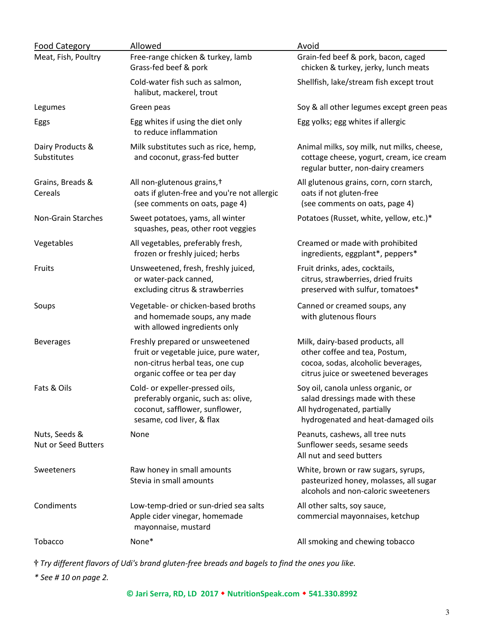| <b>Food Category</b>                        | Allowed                                                                                                                                      | Avoid                                                                                                                                         |
|---------------------------------------------|----------------------------------------------------------------------------------------------------------------------------------------------|-----------------------------------------------------------------------------------------------------------------------------------------------|
| Meat, Fish, Poultry                         | Free-range chicken & turkey, lamb<br>Grass-fed beef & pork                                                                                   | Grain-fed beef & pork, bacon, caged<br>chicken & turkey, jerky, lunch meats                                                                   |
|                                             | Cold-water fish such as salmon,<br>halibut, mackerel, trout                                                                                  | Shellfish, lake/stream fish except trout                                                                                                      |
| Legumes                                     | Green peas                                                                                                                                   | Soy & all other legumes except green peas                                                                                                     |
| Eggs                                        | Egg whites if using the diet only<br>to reduce inflammation                                                                                  | Egg yolks; egg whites if allergic                                                                                                             |
| Dairy Products &<br>Substitutes             | Milk substitutes such as rice, hemp,<br>and coconut, grass-fed butter                                                                        | Animal milks, soy milk, nut milks, cheese,<br>cottage cheese, yogurt, cream, ice cream<br>regular butter, non-dairy creamers                  |
| Grains, Breads &<br>Cereals                 | All non-glutenous grains, +<br>oats if gluten-free and you're not allergic<br>(see comments on oats, page 4)                                 | All glutenous grains, corn, corn starch,<br>oats if not gluten-free<br>(see comments on oats, page 4)                                         |
| Non-Grain Starches                          | Sweet potatoes, yams, all winter<br>squashes, peas, other root veggies                                                                       | Potatoes (Russet, white, yellow, etc.)*                                                                                                       |
| Vegetables                                  | All vegetables, preferably fresh,<br>frozen or freshly juiced; herbs                                                                         | Creamed or made with prohibited<br>ingredients, eggplant*, peppers*                                                                           |
| Fruits                                      | Unsweetened, fresh, freshly juiced,<br>or water-pack canned,<br>excluding citrus & strawberries                                              | Fruit drinks, ades, cocktails,<br>citrus, strawberries, dried fruits<br>preserved with sulfur, tomatoes*                                      |
| Soups                                       | Vegetable- or chicken-based broths<br>and homemade soups, any made<br>with allowed ingredients only                                          | Canned or creamed soups, any<br>with glutenous flours                                                                                         |
| <b>Beverages</b>                            | Freshly prepared or unsweetened<br>fruit or vegetable juice, pure water,<br>non-citrus herbal teas, one cup<br>organic coffee or tea per day | Milk, dairy-based products, all<br>other coffee and tea, Postum,<br>cocoa, sodas, alcoholic beverages,<br>citrus juice or sweetened beverages |
| Fats & Oils                                 | Cold- or expeller-pressed oils,<br>preferably organic, such as: olive,<br>coconut, safflower, sunflower,<br>sesame, cod liver, & flax        | Soy oil, canola unless organic, or<br>salad dressings made with these<br>All hydrogenated, partially<br>hydrogenated and heat-damaged oils    |
| Nuts, Seeds &<br><b>Nut or Seed Butters</b> | None                                                                                                                                         | Peanuts, cashews, all tree nuts<br>Sunflower seeds, sesame seeds<br>All nut and seed butters                                                  |
| Sweeteners                                  | Raw honey in small amounts<br>Stevia in small amounts                                                                                        | White, brown or raw sugars, syrups,<br>pasteurized honey, molasses, all sugar<br>alcohols and non-caloric sweeteners                          |
| Condiments                                  | Low-temp-dried or sun-dried sea salts<br>Apple cider vinegar, homemade<br>mayonnaise, mustard                                                | All other salts, soy sauce,<br>commercial mayonnaises, ketchup                                                                                |
| Tobacco                                     | None*                                                                                                                                        | All smoking and chewing tobacco                                                                                                               |

*Try different flavors of Udi's brand gluten-free breads and bagels to find the ones you like.* 

*\* See # 10 on page 2.*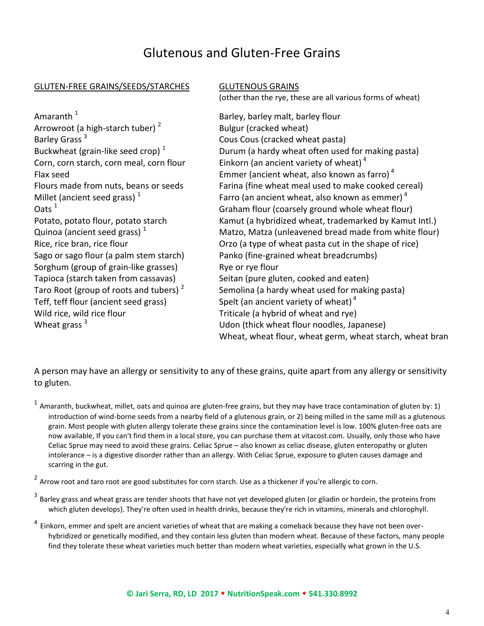## Glutenous and Gluten-Free Grains

#### GLUTEN-FREE GRAINS/SEEDS/STARCHES GLUTENOUS GRAINS

(other than the rye, these are all various forms of wheat)

Amaranth<sup>1</sup> Arrowroot (a high-starch tuber) <sup>2</sup> Barley Grass <sup>3</sup> Buckwheat (grain-like seed crop) $<sup>1</sup>$ </sup> Corn, corn starch, corn meal, corn flour Einkorn (an ancient variety of wheat) $4$ Millet (ancient seed grass)<sup>1</sup> Quinoa (ancient seed grass) $<sup>1</sup>$ </sup> Sorghum (group of grain-like grasses) Rye or rye flour Tapioca (starch taken from cassavas) Seitan (pure gluten, cooked and eaten) Taro Root (group of roots and tubers)<sup>2</sup> Teff, teff flour (ancient seed grass) Spelt (an ancient variety of wheat)<sup>4</sup> Wild rice, wild rice flour Triticale (a hybrid of wheat and rye) Wheat grass  $3$ 

 Barley, barley malt, barley flour Bulgur (cracked wheat) Cous Cous (cracked wheat pasta) Durum (a hardy wheat often used for making pasta) Flax seed Emmer (ancient wheat, also known as farro)<sup>4</sup> Flours made from nuts, beans or seeds Farina (fine wheat meal used to make cooked cereal) Farro (an ancient wheat, also known as emmer) $4$ Oats  $1$  Graham flour (coarsely ground whole wheat flour) Potato, potato flour, potato starch Kamut (a hybridized wheat, trademarked by Kamut Intl.) Matzo, Matza (unleavened bread made from white flour) Rice, rice bran, rice flour **Orzo** (a type of wheat pasta cut in the shape of rice) Sago or sago flour (a palm stem starch) Panko (fine-grained wheat breadcrumbs) Semolina (a hardy wheat used for making pasta) Udon (thick wheat flour noodles, Japanese) Wheat, wheat flour, wheat germ, wheat starch, wheat bran

A person may have an allergy or sensitivity to any of these grains, quite apart from any allergy or sensitivity to gluten.

 $1$  Amaranth, buckwheat, millet, oats and quinoa are gluten-free grains, but they may have trace contamination of gluten by: 1) introduction of wind-borne seeds from a nearby field of a glutenous grain, or 2) being milled in the same mill as a glutenous grain. Most people with gluten allergy tolerate these grains since the contamination level is low. 100% gluten-free oats are now available, If you can't find them in a local store, you can purchase them at vitacost.com. Usually, only those who have Celiac Sprue may need to avoid these grains. Celiac Sprue – also known as celiac disease, gluten enteropathy or gluten intolerance – is a digestive disorder rather than an allergy. With Celiac Sprue, exposure to gluten causes damage and scarring in the gut.

 $2$  Arrow root and taro root are good substitutes for corn starch. Use as a thickener if you're allergic to corn.

- <sup>3</sup> Barley grass and wheat grass are tender shoots that have not yet developed gluten (or gliadin or hordein, the proteins from which gluten develops). They're often used in health drinks, because they're rich in vitamins, minerals and chlorophyll.
- <sup>4</sup> Einkorn, emmer and spelt are ancient varieties of wheat that are making a comeback because they have not been overhybridized or genetically modified, and they contain less gluten than modern wheat. Because of these factors, many people find they tolerate these wheat varieties much better than modern wheat varieties, especially what grown in the U.S.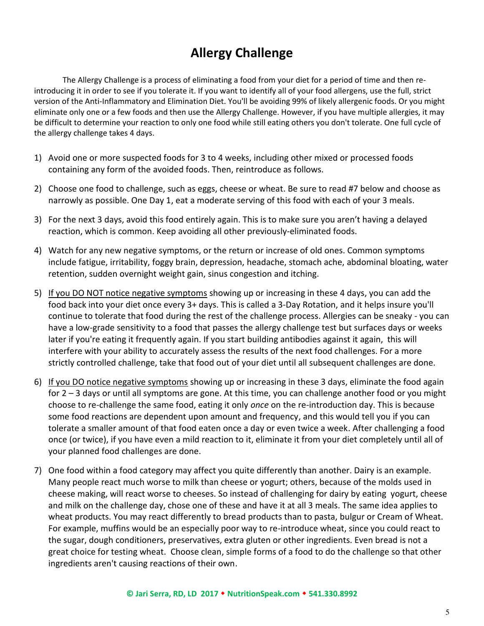# **Allergy Challenge**

 The Allergy Challenge is a process of eliminating a food from your diet for a period of time and then reintroducing it in order to see if you tolerate it. If you want to identify all of your food allergens, use the full, strict version of the Anti-Inflammatory and Elimination Diet. You'll be avoiding 99% of likely allergenic foods. Or you might eliminate only one or a few foods and then use the Allergy Challenge. However, if you have multiple allergies, it may be difficult to determine your reaction to only one food while still eating others you don't tolerate. One full cycle of the allergy challenge takes 4 days.

- 1) Avoid one or more suspected foods for 3 to 4 weeks, including other mixed or processed foods containing any form of the avoided foods. Then, reintroduce as follows.
- 2) Choose one food to challenge, such as eggs, cheese or wheat. Be sure to read #7 below and choose as narrowly as possible. One Day 1, eat a moderate serving of this food with each of your 3 meals.
- 3) For the next 3 days, avoid this food entirely again. This is to make sure you aren't having a delayed reaction, which is common. Keep avoiding all other previously-eliminated foods.
- 4) Watch for any new negative symptoms, or the return or increase of old ones. Common symptoms include fatigue, irritability, foggy brain, depression, headache, stomach ache, abdominal bloating, water retention, sudden overnight weight gain, sinus congestion and itching.
- 5) If you DO NOT notice negative symptoms showing up or increasing in these 4 days, you can add the food back into your diet once every 3+ days. This is called a 3-Day Rotation, and it helps insure you'll continue to tolerate that food during the rest of the challenge process. Allergies can be sneaky - you can have a low-grade sensitivity to a food that passes the allergy challenge test but surfaces days or weeks later if you're eating it frequently again. If you start building antibodies against it again, this will interfere with your ability to accurately assess the results of the next food challenges. For a more strictly controlled challenge, take that food out of your diet until all subsequent challenges are done.
- 6) If you DO notice negative symptoms showing up or increasing in these 3 days, eliminate the food again for 2 – 3 days or until all symptoms are gone. At this time, you can challenge another food or you might choose to re-challenge the same food, eating it only *once* on the re-introduction day. This is because some food reactions are dependent upon amount and frequency, and this would tell you if you can tolerate a smaller amount of that food eaten once a day or even twice a week. After challenging a food once (or twice), if you have even a mild reaction to it, eliminate it from your diet completely until all of your planned food challenges are done.
- 7) One food within a food category may affect you quite differently than another. Dairy is an example. Many people react much worse to milk than cheese or yogurt; others, because of the molds used in cheese making, will react worse to cheeses. So instead of challenging for dairy by eating yogurt, cheese and milk on the challenge day, chose one of these and have it at all 3 meals. The same idea applies to wheat products. You may react differently to bread products than to pasta, bulgur or Cream of Wheat. For example, muffins would be an especially poor way to re-introduce wheat, since you could react to the sugar, dough conditioners, preservatives, extra gluten or other ingredients. Even bread is not a great choice for testing wheat. Choose clean, simple forms of a food to do the challenge so that other ingredients aren't causing reactions of their own.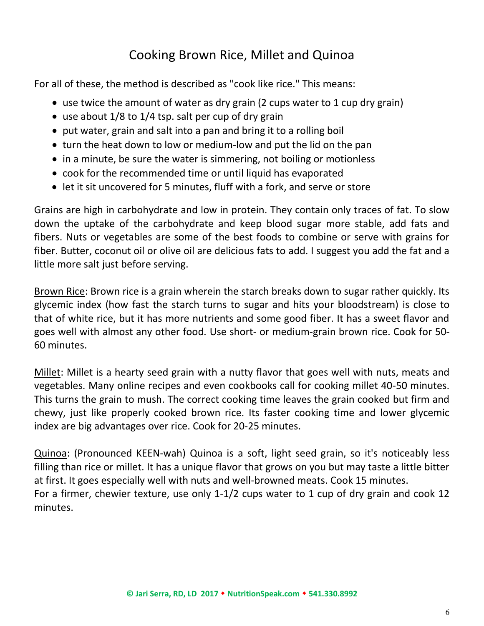# Cooking Brown Rice, Millet and Quinoa

For all of these, the method is described as "cook like rice." This means:

- use twice the amount of water as dry grain (2 cups water to 1 cup dry grain)
- use about  $1/8$  to  $1/4$  tsp. salt per cup of dry grain
- put water, grain and salt into a pan and bring it to a rolling boil
- turn the heat down to low or medium-low and put the lid on the pan
- in a minute, be sure the water is simmering, not boiling or motionless
- cook for the recommended time or until liquid has evaporated
- let it sit uncovered for 5 minutes, fluff with a fork, and serve or store

Grains are high in carbohydrate and low in protein. They contain only traces of fat. To slow down the uptake of the carbohydrate and keep blood sugar more stable, add fats and fibers. Nuts or vegetables are some of the best foods to combine or serve with grains for fiber. Butter, coconut oil or olive oil are delicious fats to add. I suggest you add the fat and a little more salt just before serving.

Brown Rice: Brown rice is a grain wherein the starch breaks down to sugar rather quickly. Its glycemic index (how fast the starch turns to sugar and hits your bloodstream) is close to that of white rice, but it has more nutrients and some good fiber. It has a sweet flavor and goes well with almost any other food. Use short- or medium-grain brown rice. Cook for 50- 60 minutes.

Millet: Millet is a hearty seed grain with a nutty flavor that goes well with nuts, meats and vegetables. Many online recipes and even cookbooks call for cooking millet 40-50 minutes. This turns the grain to mush. The correct cooking time leaves the grain cooked but firm and chewy, just like properly cooked brown rice. Its faster cooking time and lower glycemic index are big advantages over rice. Cook for 20-25 minutes.

Quinoa: (Pronounced KEEN-wah) Quinoa is a soft, light seed grain, so it's noticeably less filling than rice or millet. It has a unique flavor that grows on you but may taste a little bitter at first. It goes especially well with nuts and well-browned meats. Cook 15 minutes. For a firmer, chewier texture, use only 1-1/2 cups water to 1 cup of dry grain and cook 12 minutes.